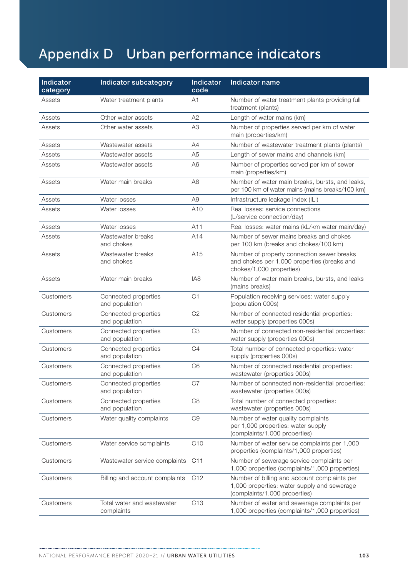## Appendix D Urban performance indicators

| Indicator<br>category | <b>Indicator subcategory</b>             | Indicator<br>code | Indicator name                                                                                                               |
|-----------------------|------------------------------------------|-------------------|------------------------------------------------------------------------------------------------------------------------------|
| Assets                | Water treatment plants                   | A1                | Number of water treatment plants providing full<br>treatment (plants)                                                        |
| Assets                | Other water assets                       | A2                | Length of water mains (km)                                                                                                   |
| Assets                | Other water assets                       | A <sub>3</sub>    | Number of properties served per km of water<br>main (properties/km)                                                          |
| Assets                | Wastewater assets                        | A4                | Number of wastewater treatment plants (plants)                                                                               |
| Assets                | Wastewater assets                        | A <sub>5</sub>    | Length of sewer mains and channels (km)                                                                                      |
| Assets                | Wastewater assets                        | A <sub>6</sub>    | Number of properties served per km of sewer<br>main (properties/km)                                                          |
| Assets                | Water main breaks                        | A <sub>8</sub>    | Number of water main breaks, bursts, and leaks,<br>per 100 km of water mains (mains breaks/100 km)                           |
| Assets                | Water losses                             | A <sub>9</sub>    | Infrastructure leakage index (ILI)                                                                                           |
| Assets                | Water losses                             | A <sub>10</sub>   | Real losses: service connections<br>(L/service connection/day)                                                               |
| Assets                | Water losses                             | A11               | Real losses: water mains (kL/km water main/day)                                                                              |
| Assets                | Wastewater breaks<br>and chokes          | A14               | Number of sewer mains breaks and chokes<br>per 100 km (breaks and chokes/100 km)                                             |
| Assets                | Wastewater breaks<br>and chokes          | A15               | Number of property connection sewer breaks<br>and chokes per 1,000 properties (breaks and<br>chokes/1,000 properties)        |
| Assets                | Water main breaks                        | IA <sub>8</sub>   | Number of water main breaks, bursts, and leaks<br>(mains breaks)                                                             |
| Customers             | Connected properties<br>and population   | C1                | Population receiving services: water supply<br>(population 000s)                                                             |
| Customers             | Connected properties<br>and population   | C <sub>2</sub>    | Number of connected residential properties:<br>water supply (properties 000s)                                                |
| Customers             | Connected properties<br>and population   | C <sub>3</sub>    | Number of connected non-residential properties:<br>water supply (properties 000s)                                            |
| Customers             | Connected properties<br>and population   | C <sub>4</sub>    | Total number of connected properties: water<br>supply (properties 000s)                                                      |
| Customers             | Connected properties<br>and population   | C <sub>6</sub>    | Number of connected residential properties:<br>wastewater (properties 000s)                                                  |
| Customers             | Connected properties<br>and population   | C7                | Number of connected non-residential properties:<br>wastewater (properties 000s)                                              |
| Customers             | Connected properties<br>and population   | C <sub>8</sub>    | Total number of connected properties:<br>wastewater (properties 000s)                                                        |
| Customers             | Water quality complaints                 | C <sub>9</sub>    | Number of water quality complaints<br>per 1,000 properties: water supply<br>(complaints/1,000 properties)                    |
| Customers             | Water service complaints                 | C10               | Number of water service complaints per 1,000<br>properties (complaints/1,000 properties)                                     |
| Customers             | Wastewater service complaints            | C <sub>11</sub>   | Number of sewerage service complaints per<br>1,000 properties (complaints/1,000 properties)                                  |
| Customers             | Billing and account complaints           | C <sub>12</sub>   | Number of billing and account complaints per<br>1,000 properties: water supply and sewerage<br>(complaints/1,000 properties) |
| Customers             | Total water and wastewater<br>complaints | C <sub>13</sub>   | Number of water and sewerage complaints per<br>1,000 properties (complaints/1,000 properties)                                |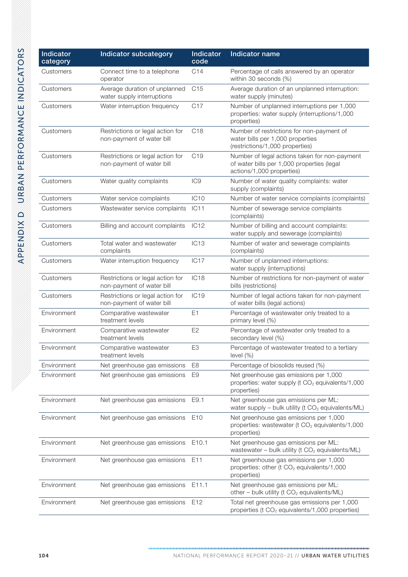| Indicator<br>category | Indicator subcategory                                         | <b>Indicator</b><br>code | Indicator name                                                                                                           |
|-----------------------|---------------------------------------------------------------|--------------------------|--------------------------------------------------------------------------------------------------------------------------|
| Customers             | Connect time to a telephone<br>operator                       | C14                      | Percentage of calls answered by an operator<br>within 30 seconds (%)                                                     |
| Customers             | Average duration of unplanned<br>water supply interruptions   | C <sub>15</sub>          | Average duration of an unplanned interruption:<br>water supply (minutes)                                                 |
| Customers             | Water interruption frequency                                  | C17                      | Number of unplanned interruptions per 1,000<br>properties: water supply (interruptions/1,000<br>properties)              |
| Customers             | Restrictions or legal action for<br>non-payment of water bill | C <sub>18</sub>          | Number of restrictions for non-payment of<br>water bills per 1,000 properties<br>(restrictions/1,000 properties)         |
| Customers             | Restrictions or legal action for<br>non-payment of water bill | C <sub>19</sub>          | Number of legal actions taken for non-payment<br>of water bills per 1,000 properties (legal<br>actions/1,000 properties) |
| Customers             | Water quality complaints                                      | IC <sub>9</sub>          | Number of water quality complaints: water<br>supply (complaints)                                                         |
| Customers             | Water service complaints                                      | IC <sub>10</sub>         | Number of water service complaints (complaints)                                                                          |
| Customers             | Wastewater service complaints                                 | <b>IC11</b>              | Number of sewerage service complaints<br>(complaints)                                                                    |
| Customers             | Billing and account complaints                                | IC12                     | Number of billing and account complaints:<br>water supply and sewerage (complaints)                                      |
| Customers             | Total water and wastewater<br>complaints                      | IC <sub>13</sub>         | Number of water and sewerage complaints<br>(complaints)                                                                  |
| Customers             | Water interruption frequency                                  | IC <sub>17</sub>         | Number of unplanned interruptions:<br>water supply (interruptions)                                                       |
| Customers             | Restrictions or legal action for<br>non-payment of water bill | IC <sub>18</sub>         | Number of restrictions for non-payment of water<br>bills (restrictions)                                                  |
| Customers             | Restrictions or legal action for<br>non-payment of water bill | IC <sub>19</sub>         | Number of legal actions taken for non-payment<br>of water bills (legal actions)                                          |
| Environment           | Comparative wastewater<br>treatment levels                    | E <sub>1</sub>           | Percentage of wastewater only treated to a<br>primary level (%)                                                          |
| Environment           | Comparative wastewater<br>treatment levels                    | E <sub>2</sub>           | Percentage of wastewater only treated to a<br>secondary level (%)                                                        |
| Environment           | Comparative wastewater<br>treatment levels                    | E <sub>3</sub>           | Percentage of wastewater treated to a tertiary<br>level $(\%)$                                                           |
| Environment           | Net greenhouse gas emissions                                  | E8                       | Percentage of biosolids reused (%)                                                                                       |
| Environment           | Net greenhouse gas emissions                                  | E9                       | Net greenhouse gas emissions per 1,000<br>properties: water supply (t CO <sub>2</sub> equivalents/1,000<br>properties)   |
| Environment           | Net greenhouse gas emissions                                  | E9.1                     | Net greenhouse gas emissions per ML:<br>water supply - bulk utility ( $t CO2$ equivalents/ML)                            |
| Environment           | Net greenhouse gas emissions                                  | E <sub>10</sub>          | Net greenhouse gas emissions per 1,000<br>properties: wastewater (t CO <sub>2</sub> equivalents/1,000<br>properties)     |
| Environment           | Net greenhouse gas emissions                                  | E10.1                    | Net greenhouse gas emissions per ML:<br>wastewater - bulk utility (t CO <sub>2</sub> equivalents/ML)                     |
| Environment           | Net greenhouse gas emissions                                  | E <sub>11</sub>          | Net greenhouse gas emissions per 1,000<br>properties: other (t CO <sub>2</sub> equivalents/1,000<br>properties)          |
| Environment           | Net greenhouse gas emissions                                  | E11.1                    | Net greenhouse gas emissions per ML:<br>other – bulk utility ( $t CO2$ equivalents/ML)                                   |
| Environment           | Net greenhouse gas emissions                                  | E <sub>12</sub>          | Total net greenhouse gas emissions per 1,000<br>properties (t CO <sub>2</sub> equivalents/1,000 properties)              |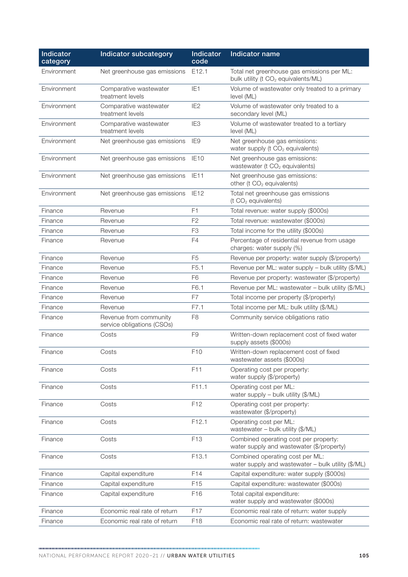| <b>Indicator</b><br>category | Indicator subcategory                                | <b>Indicator</b><br>code | <b>Indicator name</b>                                                                         |
|------------------------------|------------------------------------------------------|--------------------------|-----------------------------------------------------------------------------------------------|
| Environment                  | Net greenhouse gas emissions                         | E12.1                    | Total net greenhouse gas emissions per ML:<br>bulk utility (t CO <sub>2</sub> equivalents/ML) |
| Environment                  | Comparative wastewater<br>treatment levels           | IE <sub>1</sub>          | Volume of wastewater only treated to a primary<br>level (ML)                                  |
| Environment                  | Comparative wastewater<br>treatment levels           | IE <sub>2</sub>          | Volume of wastewater only treated to a<br>secondary level (ML)                                |
| Environment                  | Comparative wastewater<br>treatment levels           | IE <sub>3</sub>          | Volume of wastewater treated to a tertiary<br>level (ML)                                      |
| Environment                  | Net greenhouse gas emissions                         | IE9                      | Net greenhouse gas emissions:<br>water supply (t CO <sub>2</sub> equivalents)                 |
| Environment                  | Net greenhouse gas emissions                         | IE <sub>10</sub>         | Net greenhouse gas emissions:<br>wastewater (t CO <sub>2</sub> equivalents)                   |
| Environment                  | Net greenhouse gas emissions                         | IE11                     | Net greenhouse gas emissions:<br>other (t CO <sub>2</sub> equivalents)                        |
| Environment                  | Net greenhouse gas emissions                         | IE <sub>12</sub>         | Total net greenhouse gas emissions<br>(t CO <sub>2</sub> equivalents)                         |
| Finance                      | Revenue                                              | F1                       | Total revenue: water supply (\$000s)                                                          |
| Finance                      | Revenue                                              | F <sub>2</sub>           | Total revenue: wastewater (\$000s)                                                            |
| Finance                      | Revenue                                              | F <sub>3</sub>           | Total income for the utility (\$000s)                                                         |
| Finance                      | Revenue                                              | F <sub>4</sub>           | Percentage of residential revenue from usage<br>charges: water supply (%)                     |
| Finance                      | Revenue                                              | F <sub>5</sub>           | Revenue per property: water supply (\$/property)                                              |
| Finance                      | Revenue                                              | F <sub>5.1</sub>         | Revenue per ML: water supply - bulk utility (\$/ML)                                           |
| Finance                      | Revenue                                              | F <sub>6</sub>           | Revenue per property: wastewater (\$/property)                                                |
| Finance                      | Revenue                                              | F6.1                     | Revenue per ML: wastewater - bulk utility (\$/ML)                                             |
| Finance                      | Revenue                                              | F7                       | Total income per property (\$/property)                                                       |
| Finance                      | Revenue                                              | F7.1                     | Total income per ML: bulk utility (\$/ML)                                                     |
| Finance                      | Revenue from community<br>service obligations (CSOs) | F <sub>8</sub>           | Community service obligations ratio                                                           |
| Finance                      | Costs                                                | F9                       | Written-down replacement cost of fixed water<br>supply assets (\$000s)                        |
| Finance                      | Costs                                                | F <sub>10</sub>          | Written-down replacement cost of fixed<br>wastewater assets (\$000s)                          |
| Finance                      | Costs                                                | F11                      | Operating cost per property:<br>water supply (\$/property)                                    |
| Finance                      | Costs                                                | F11.1                    | Operating cost per ML:<br>water supply - bulk utility (\$/ML)                                 |
| Finance                      | Costs                                                | F12                      | Operating cost per property:<br>wastewater (\$/property)                                      |
| Finance                      | Costs                                                | F12.1                    | Operating cost per ML:<br>wastewater - bulk utility (\$/ML)                                   |
| Finance                      | Costs                                                | F <sub>13</sub>          | Combined operating cost per property:<br>water supply and wastewater (\$/property)            |
| Finance                      | Costs                                                | F13.1                    | Combined operating cost per ML:<br>water supply and wastewater - bulk utility (\$/ML)         |
| Finance                      | Capital expenditure                                  | F <sub>14</sub>          | Capital expenditure: water supply (\$000s)                                                    |
| Finance                      | Capital expenditure                                  | F <sub>15</sub>          | Capital expenditure: wastewater (\$000s)                                                      |
| Finance                      | Capital expenditure                                  | F16                      | Total capital expenditure:<br>water supply and wastewater (\$000s)                            |
| Finance                      | Economic real rate of return                         | F17                      | Economic real rate of return: water supply                                                    |
| Finance                      | Economic real rate of return                         | F18                      | Economic real rate of return: wastewater                                                      |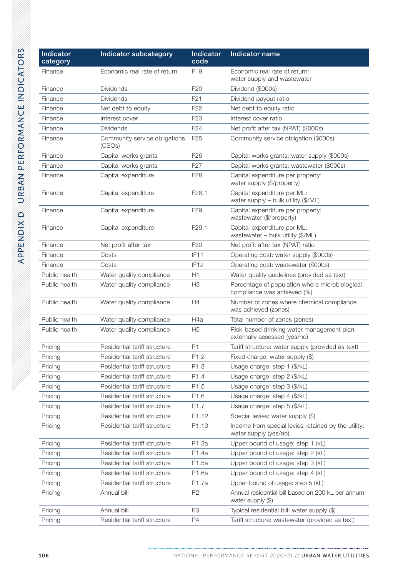| Indicator<br>category | <b>Indicator subcategory</b>            | <b>Indicator</b><br>code | Indicator name                                                                |
|-----------------------|-----------------------------------------|--------------------------|-------------------------------------------------------------------------------|
| Finance               | Economic real rate of return            | F <sub>19</sub>          | Economic real rate of return:<br>water supply and wastewater                  |
| Finance               | <b>Dividends</b>                        | F <sub>20</sub>          | Dividend (\$000s)                                                             |
| Finance               | <b>Dividends</b>                        | F <sub>21</sub>          | Dividend payout ratio                                                         |
| Finance               | Net debt to equity                      | F <sub>22</sub>          | Net debt to equity ratio                                                      |
| Finance               | Interest cover                          | F <sub>23</sub>          | Interest cover ratio                                                          |
| Finance               | <b>Dividends</b>                        | F <sub>24</sub>          | Net profit after tax (NPAT) (\$000s)                                          |
| Finance               | Community service obligations<br>(CSOs) | F <sub>25</sub>          | Community service obligation (\$000s)                                         |
| Finance               | Capital works grants                    | F <sub>26</sub>          | Capital works grants: water supply (\$000s)                                   |
| Finance               | Capital works grants                    | F <sub>27</sub>          | Capital works grants: wastewater (\$000s)                                     |
| Finance               | Capital expenditure                     | F <sub>28</sub>          | Capital expenditure per property:<br>water supply (\$/property)               |
| Finance               | Capital expenditure                     | F <sub>28.1</sub>        | Capital expenditure per ML:<br>water supply - bulk utility (\$/ML)            |
| Finance               | Capital expenditure                     | F <sub>29</sub>          | Capital expenditure per property:<br>wastewater (\$/property)                 |
| Finance               | Capital expenditure                     | F <sub>29.1</sub>        | Capital expenditure per ML:<br>wastewater - bulk utility (\$/ML)              |
| Finance               | Net profit after tax                    | F30                      | Net profit after tax (NPAT) ratio                                             |
| Finance               | Costs                                   | IF11                     | Operating cost: water supply (\$000s)                                         |
| Finance               | Costs                                   | IF <sub>12</sub>         | Operating cost: wastewater (\$000s)                                           |
| Public health         | Water quality compliance                | H1                       | Water quality guidelines (provided as text)                                   |
| Public health         | Water quality compliance                | H <sub>3</sub>           | Percentage of population where microbiological<br>compliance was achieved (%) |
| Public health         | Water quality compliance                | H4                       | Number of zones where chemical compliance<br>was achieved (zones)             |
| Public health         | Water quality compliance                | H4a                      | Total number of zones (zones)                                                 |
| Public health         | Water quality compliance                | H <sub>5</sub>           | Risk-based drinking water management plan<br>externally assessed (yes/no)     |
| Pricing               | Residential tariff structure            | P1                       | Tariff structure: water supply (provided as text)                             |
| Pricing               | Residential tariff structure            | P1.2                     | Fixed charge: water supply (\$)                                               |
| Pricing               | Residential tariff structure            | P1.3                     | Usage charge: step 1 (\$/kL)                                                  |
| Pricing               | Residential tariff structure            | P1.4                     | Usage charge: step 2 (\$/kL)                                                  |
| Pricing               | Residential tariff structure            | P1.5                     | Usage charge: step 3 (\$/kL)                                                  |
| Pricing               | Residential tariff structure            | P1.6                     | Usage charge: step 4 (\$/kL)                                                  |
| Pricing               | Residential tariff structure            | P1.7                     | Usage charge: step 5 (\$/kL)                                                  |
| Pricing               | Residential tariff structure            | P <sub>1.12</sub>        | Special levies: water supply (\$)                                             |
| Pricing               | Residential tariff structure            | P1.13                    | Income from special levies retained by the utility:<br>water supply (yes/no)  |
| Pricing               | Residential tariff structure            | P1.3a                    | Upper bound of usage: step 1 (kL)                                             |
| Pricing               | Residential tariff structure            | P1.4a                    | Upper bound of usage: step 2 (kL)                                             |
| Pricing               | Residential tariff structure            | P1.5a                    | Upper bound of usage: step 3 (kL)                                             |
| Pricing               | Residential tariff structure            | P1.6a                    | Upper bound of usage: step 4 (kL)                                             |
| Pricing               | Residential tariff structure            | P1.7a                    | Upper bound of usage: step 5 (kL)                                             |
| Pricing               | Annual bill                             | P <sub>2</sub>           | Annual residential bill based on 200 kL per annum:<br>water supply (\$)       |
| Pricing               | Annual bill                             | P <sub>3</sub>           | Typical residential bill: water supply (\$)                                   |
| Pricing               | Residential tariff structure            | P4                       | Tariff structure: wastewater (provided as text)                               |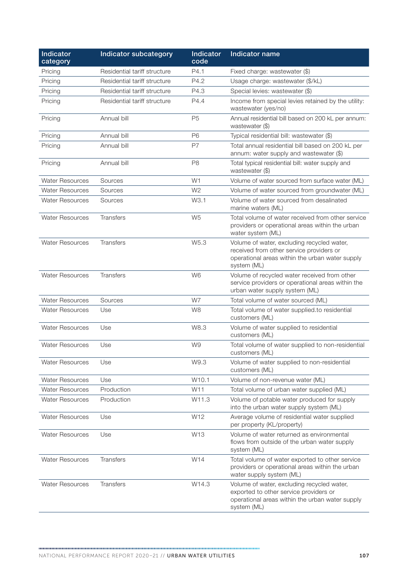| <b>Indicator</b><br>category | Indicator subcategory        | <b>Indicator</b><br>code | Indicator name                                                                                                                                           |
|------------------------------|------------------------------|--------------------------|----------------------------------------------------------------------------------------------------------------------------------------------------------|
| Pricing                      | Residential tariff structure | P4.1                     | Fixed charge: wastewater (\$)                                                                                                                            |
| Pricing                      | Residential tariff structure | P4.2                     | Usage charge: wastewater (\$/kL)                                                                                                                         |
| Pricing                      | Residential tariff structure | P4.3                     | Special levies: wastewater (\$)                                                                                                                          |
| Pricing                      | Residential tariff structure | P4.4                     | Income from special levies retained by the utility:<br>wastewater (yes/no)                                                                               |
| Pricing                      | Annual bill                  | P <sub>5</sub>           | Annual residential bill based on 200 kL per annum:<br>wastewater (\$)                                                                                    |
| Pricing                      | Annual bill                  | P <sub>6</sub>           | Typical residential bill: wastewater (\$)                                                                                                                |
| Pricing                      | Annual bill                  | P7                       | Total annual residential bill based on 200 kL per<br>annum: water supply and wastewater (\$)                                                             |
| Pricing                      | Annual bill                  | P <sub>8</sub>           | Total typical residential bill: water supply and<br>wastewater (\$)                                                                                      |
| <b>Water Resources</b>       | Sources                      | W <sub>1</sub>           | Volume of water sourced from surface water (ML)                                                                                                          |
| <b>Water Resources</b>       | Sources                      | W <sub>2</sub>           | Volume of water sourced from groundwater (ML)                                                                                                            |
| <b>Water Resources</b>       | Sources                      | W3.1                     | Volume of water sourced from desalinated<br>marine waters (ML)                                                                                           |
| <b>Water Resources</b>       | Transfers                    | W <sub>5</sub>           | Total volume of water received from other service<br>providers or operational areas within the urban<br>water system (ML)                                |
| <b>Water Resources</b>       | Transfers                    | W5.3                     | Volume of water, excluding recycled water,<br>received from other service providers or<br>operational areas within the urban water supply<br>system (ML) |
| <b>Water Resources</b>       | <b>Transfers</b>             | W <sub>6</sub>           | Volume of recycled water received from other<br>service providers or operational areas within the<br>urban water supply system (ML)                      |
| <b>Water Resources</b>       | Sources                      | W7                       | Total volume of water sourced (ML)                                                                                                                       |
| <b>Water Resources</b>       | Use                          | W <sub>8</sub>           | Total volume of water supplied.to residential<br>customers (ML)                                                                                          |
| <b>Water Resources</b>       | Use                          | W8.3                     | Volume of water supplied to residential<br>customers (ML)                                                                                                |
| <b>Water Resources</b>       | Use                          | W9                       | Total volume of water supplied to non-residential<br>customers (ML)                                                                                      |
| <b>Water Resources</b>       | Use                          | W9.3                     | Volume of water supplied to non-residential<br>customers (ML)                                                                                            |
| <b>Water Resources</b>       | Use                          | W10.1                    | Volume of non-revenue water (ML)                                                                                                                         |
| <b>Water Resources</b>       | Production                   | W11                      | Total volume of urban water supplied (ML)                                                                                                                |
| <b>Water Resources</b>       | Production                   | W11.3                    | Volume of potable water produced for supply<br>into the urban water supply system (ML)                                                                   |
| <b>Water Resources</b>       | Use                          | W12                      | Average volume of residential water supplied<br>per property (KL/property)                                                                               |
| <b>Water Resources</b>       | Use                          | W13                      | Volume of water returned as environmental<br>flows from outside of the urban water supply<br>system (ML)                                                 |
| <b>Water Resources</b>       | Transfers                    | W14                      | Total volume of water exported to other service<br>providers or operational areas within the urban<br>water supply system (ML)                           |
| <b>Water Resources</b>       | Transfers                    | W14.3                    | Volume of water, excluding recycled water,<br>exported to other service providers or<br>operational areas within the urban water supply<br>system (ML)   |